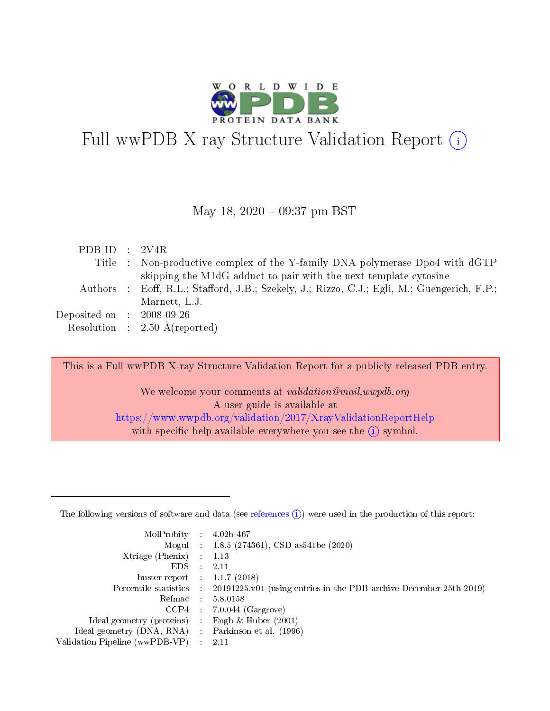

# Full wwPDB X-ray Structure Validation Report  $(i)$

#### May 18, 2020 - 09:37 pm BST

| PDB ID : $2V4R$                     |                                                                                             |
|-------------------------------------|---------------------------------------------------------------------------------------------|
|                                     | Title : Non-productive complex of the Y-family DNA polymerase Dpo4 with dGTP                |
|                                     | skipping the M1dG adduct to pair with the next template cytosine                            |
|                                     | Authors : Eoff, R.L.; Stafford, J.B.; Szekely, J.; Rizzo, C.J.; Egli, M.; Guengerich, F.P.; |
|                                     | Marnett, L.J.                                                                               |
| Deposited on $\,$ : 2008-09-26 $\,$ |                                                                                             |
|                                     | Resolution : $2.50 \text{ Å}$ (reported)                                                    |

This is a Full wwPDB X-ray Structure Validation Report for a publicly released PDB entry.

We welcome your comments at validation@mail.wwpdb.org A user guide is available at <https://www.wwpdb.org/validation/2017/XrayValidationReportHelp> with specific help available everywhere you see the  $(i)$  symbol.

The following versions of software and data (see [references](https://www.wwpdb.org/validation/2017/XrayValidationReportHelp#references)  $(1)$ ) were used in the production of this report:

| MolProbity :                   |               | $4.02b - 467$                                                               |
|--------------------------------|---------------|-----------------------------------------------------------------------------|
|                                |               | Mogul : $1.8.5$ (274361), CSD as 541be (2020)                               |
| Xtriage (Phenix)               | $\mathcal{L}$ | 1.13                                                                        |
| EDS.                           |               | 2.11                                                                        |
| buster-report : $1.1.7$ (2018) |               |                                                                             |
| Percentile statistics :        |               | $20191225 \text{v}01$ (using entries in the PDB archive December 25th 2019) |
| Refmac :                       |               | 5.8.0158                                                                    |
| CCP4                           |               | $7.0.044$ (Gargrove)                                                        |
| Ideal geometry (proteins) :    |               | Engh $\&$ Huber (2001)                                                      |
| Ideal geometry (DNA, RNA) :    |               | Parkinson et al. (1996)                                                     |
| Validation Pipeline (wwPDB-VP) | $\mathcal{L}$ | 2.11                                                                        |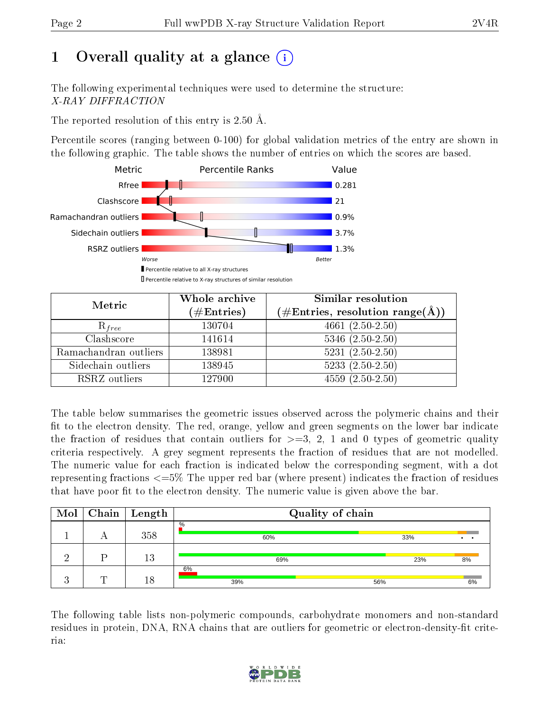# 1 [O](https://www.wwpdb.org/validation/2017/XrayValidationReportHelp#overall_quality)verall quality at a glance  $(i)$

The following experimental techniques were used to determine the structure: X-RAY DIFFRACTION

The reported resolution of this entry is 2.50 Å.

Percentile scores (ranging between 0-100) for global validation metrics of the entry are shown in the following graphic. The table shows the number of entries on which the scores are based.



| Metric                | Whole archive<br>$(\#\text{Entries})$ | Similar resolution<br>$(\#\text{Entries},\,\text{resolution}\,\,\text{range}(\textup{\AA}))$ |
|-----------------------|---------------------------------------|----------------------------------------------------------------------------------------------|
| $R_{free}$            | 130704                                | $4661(2.50-2.50)$                                                                            |
| Clashscore            | 141614                                | $5346$ $(2.50-2.50)$                                                                         |
| Ramachandran outliers | 138981                                | $5231 (2.50 - 2.50)$                                                                         |
| Sidechain outliers    | 138945                                | $5233(2.50-2.50)$                                                                            |
| RSRZ outliers         | 127900                                | $4559(2.50-2.50)$                                                                            |

The table below summarises the geometric issues observed across the polymeric chains and their fit to the electron density. The red, orange, yellow and green segments on the lower bar indicate the fraction of residues that contain outliers for  $>=3, 2, 1$  and 0 types of geometric quality criteria respectively. A grey segment represents the fraction of residues that are not modelled. The numeric value for each fraction is indicated below the corresponding segment, with a dot representing fractions  $\epsilon=5\%$  The upper red bar (where present) indicates the fraction of residues that have poor fit to the electron density. The numeric value is given above the bar.

| Mol |   | $\mid$ Chain $\mid$ Length | Quality of chain     |     |    |  |  |  |  |
|-----|---|----------------------------|----------------------|-----|----|--|--|--|--|
|     |   | 358                        | $\frac{0}{0}$<br>60% | 33% |    |  |  |  |  |
|     |   | 13                         | 69%                  | 23% | 8% |  |  |  |  |
|     | Ŧ | 18                         | 6%<br>39%            | 56% | 6% |  |  |  |  |

The following table lists non-polymeric compounds, carbohydrate monomers and non-standard residues in protein, DNA, RNA chains that are outliers for geometric or electron-density-fit criteria:

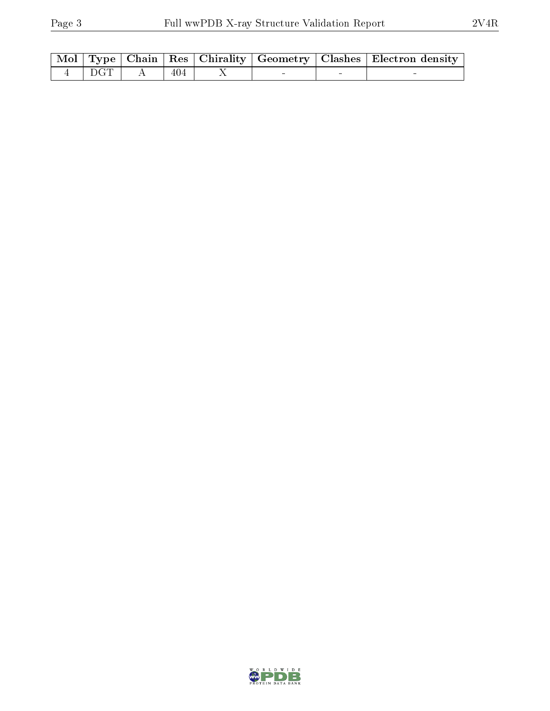|                   |      |  | Mol   Type   Chain   Res   Chirality   Geometry   Clashes   Electron density |
|-------------------|------|--|------------------------------------------------------------------------------|
| $4 \mid DGT \mid$ | -404 |  |                                                                              |

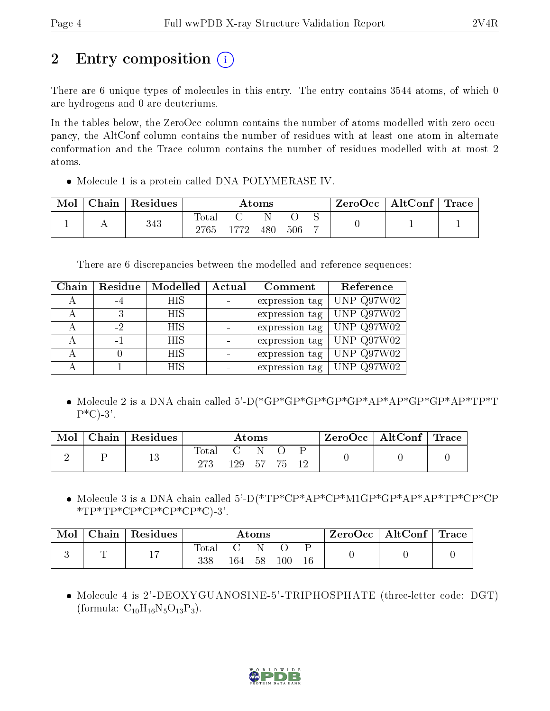# 2 Entry composition (i)

There are 6 unique types of molecules in this entry. The entry contains 3544 atoms, of which 0 are hydrogens and 0 are deuteriums.

In the tables below, the ZeroOcc column contains the number of atoms modelled with zero occupancy, the AltConf column contains the number of residues with at least one atom in alternate conformation and the Trace column contains the number of residues modelled with at most 2 atoms.

• Molecule 1 is a protein called DNA POLYMERASE IV.

| Mol | Chain | Residues | Atoms         |      |     |     |  | $ZeroOcc \mid AltConf \mid$ | $\lq$ Trace |
|-----|-------|----------|---------------|------|-----|-----|--|-----------------------------|-------------|
|     | . .   | 343      | Total<br>2765 | 1772 | 480 | 506 |  |                             |             |

There are 6 discrepancies between the modelled and reference sequences:

| Chain | Residue | Modelled   | Actual | Comment        | Reference          |
|-------|---------|------------|--------|----------------|--------------------|
| А     | -4      | HIS        |        | expression tag | UNP Q97W02         |
|       | -3      | <b>HIS</b> |        | expression tag | $ $ UNP Q97W02     |
|       | $-2$    | HIS        |        | expression tag | $\vert$ UNP Q97W02 |
|       | $-1$    | HIS        |        | expression tag | UNP Q97W02         |
|       |         | <b>HIS</b> |        | expression tag | UNP Q97W02         |
|       |         | <b>HIS</b> |        | expression tag | UNP Q97W02         |

 Molecule 2 is a DNA chain called 5'-D(\*GP\*GP\*GP\*GP\*GP\*AP\*AP\*GP\*GP\*AP\*TP\*T  $P^*C$ -3'.

| Mol | Chain   Residues | $\rm{Atoms}$       |                     |              |  |    | $\text{ZeroOcc} \mid \text{AltConf} \mid \text{Trace}$ |  |
|-----|------------------|--------------------|---------------------|--------------|--|----|--------------------------------------------------------|--|
|     | 13               | $\rm Total$<br>273 | $\mathbf{C}$<br>129 | - N<br>57 75 |  | 19 |                                                        |  |

 Molecule 3 is a DNA chain called 5'-D(\*TP\*CP\*AP\*CP\*M1GP\*GP\*AP\*AP\*TP\*CP\*CP  $*TP*TP*CP*CP*CP*CP*CP*C$ 

| Mol | ${\rm Chain}$ | $\perp$ Residues |              |     | Atoms |     |  | $ZeroOcc \mid AltConf \mid$ | $\mid$ Trace $\mid$ |
|-----|---------------|------------------|--------------|-----|-------|-----|--|-----------------------------|---------------------|
|     | ┮<br>-        | 17               | 'otal<br>338 | 164 | 58    | 100 |  |                             |                     |

 Molecule 4 is 2'-DEOXYGUANOSINE-5'-TRIPHOSPHATE (three-letter code: DGT) (formula:  $C_{10}H_{16}N_5O_{13}P_3$ ).

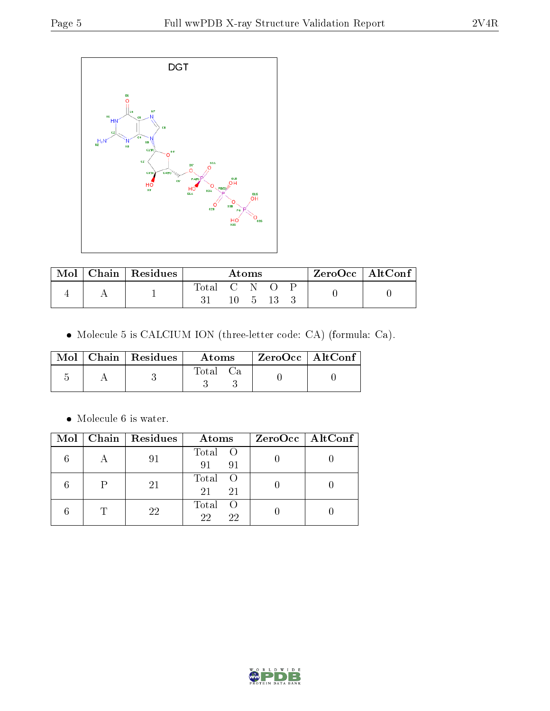

| Mol | Chain   $Residues$ | Atoms       |  |  |  |  | ZeroOcc   AltConf |  |
|-----|--------------------|-------------|--|--|--|--|-------------------|--|
|     |                    | Total C N O |  |  |  |  |                   |  |

Molecule 5 is CALCIUM ION (three-letter code: CA) (formula: Ca).

|  | $\text{Mol}$   Chain   Residues | Atoms | ZeroOcc   AltConf |  |
|--|---------------------------------|-------|-------------------|--|
|  |                                 | Total |                   |  |

 $\bullet\,$  Molecule 6 is water.

| Mol | Chain Residues | Atoms                      | $ZeroOcc \   \ AltConf \  $ |
|-----|----------------|----------------------------|-----------------------------|
|     | 91             | Total O<br>91<br>91        |                             |
|     | 21             | Total<br>21<br>21          |                             |
|     | 22             | Total<br>- ( )<br>22<br>22 |                             |

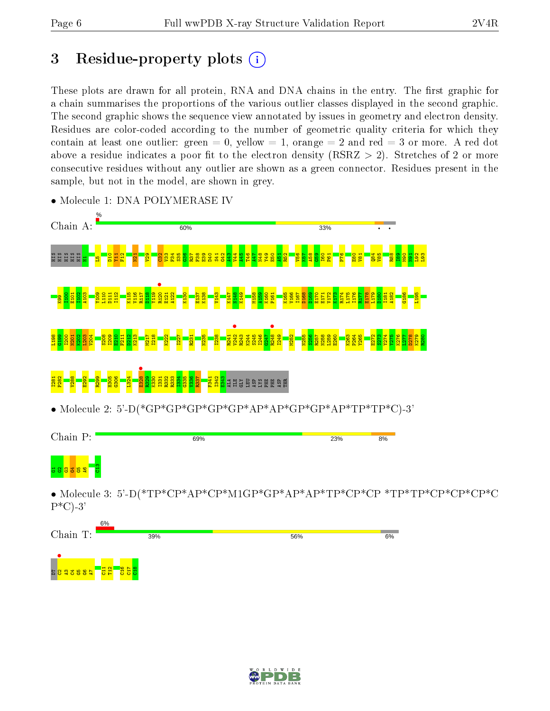# 3 Residue-property plots  $(i)$

These plots are drawn for all protein, RNA and DNA chains in the entry. The first graphic for a chain summarises the proportions of the various outlier classes displayed in the second graphic. The second graphic shows the sequence view annotated by issues in geometry and electron density. Residues are color-coded according to the number of geometric quality criteria for which they contain at least one outlier: green  $= 0$ , yellow  $= 1$ , orange  $= 2$  and red  $= 3$  or more. A red dot above a residue indicates a poor fit to the electron density (RSRZ  $> 2$ ). Stretches of 2 or more consecutive residues without any outlier are shown as a green connector. Residues present in the sample, but not in the model, are shown in grey.



• Molecule 1: DNA POLYMERASE IV





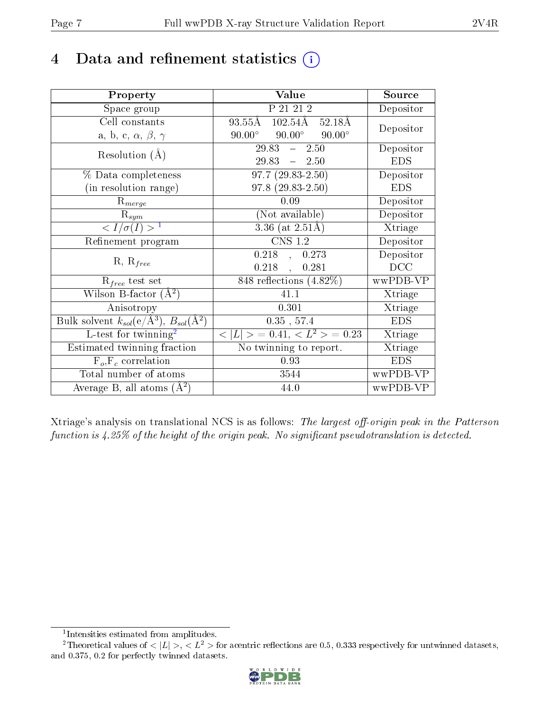# 4 Data and refinement statistics  $(i)$

| Property                                                         | Value                                              | Source     |
|------------------------------------------------------------------|----------------------------------------------------|------------|
| Space group                                                      | P 21 21 2                                          | Depositor  |
| Cell constants                                                   | 93.55Å 102.54Å 52.18Å                              | Depositor  |
| a, b, c, $\alpha$ , $\beta$ , $\gamma$                           | $90.00^{\circ}$<br>$90.00^{\circ}$ $90.00^{\circ}$ |            |
| Resolution $(A)$                                                 | $29.83 - 2.50$                                     | Depositor  |
|                                                                  | $29.83 - 2.50$                                     | <b>EDS</b> |
| $\%$ Data completeness                                           | $\overline{97.7 (29.83-2.50)}$                     | Depositor  |
| (in resolution range)                                            | $97.8(29.83-2.50)$                                 | <b>EDS</b> |
| $R_{merge}$                                                      | 0.09                                               | Depositor  |
| $\mathrm{R}_{sym}$                                               | (Not available)                                    | Depositor  |
| $\langle I/\sigma(I) \rangle^{-1}$                               | $3.36$ (at $2.51\text{\AA})$                       | Xtriage    |
| Refinement program                                               | $\overline{\text{CNS} 1.2}$                        | Depositor  |
|                                                                  | $0.218$ , $0.273$                                  | Depositor  |
| $R, R_{free}$                                                    | $0.218$ ,<br>0.281                                 | DCC        |
| $R_{free}$ test set                                              | 848 reflections (4.82%)                            | wwPDB-VP   |
| Wilson B-factor $(A^2)$                                          | 41.1                                               | Xtriage    |
| Anisotropy                                                       | 0.301                                              | Xtriage    |
| Bulk solvent $k_{sol}(\text{e}/\text{A}^3), B_{sol}(\text{A}^2)$ | $0.35$ , 57.4                                      | <b>EDS</b> |
| L-test for $\mathrm{twinning}^2$                                 | $< L >$ = 0.41, $< L2 >$ = 0.23                    | Xtriage    |
| Estimated twinning fraction                                      | No twinning to report.                             | Xtriage    |
| $\overline{F_o}, \overline{F_c}$ correlation                     | 0.93                                               | <b>EDS</b> |
| Total number of atoms                                            | 3544                                               | wwPDB-VP   |
| Average B, all atoms $(A^2)$                                     | 44.0                                               | wwPDB-VP   |

Xtriage's analysis on translational NCS is as follows: The largest off-origin peak in the Patterson function is  $4.25\%$  of the height of the origin peak. No significant pseudotranslation is detected.

<sup>&</sup>lt;sup>2</sup>Theoretical values of  $\langle |L| \rangle$ ,  $\langle L^2 \rangle$  for acentric reflections are 0.5, 0.333 respectively for untwinned datasets, and 0.375, 0.2 for perfectly twinned datasets.



<span id="page-6-1"></span><span id="page-6-0"></span><sup>1</sup> Intensities estimated from amplitudes.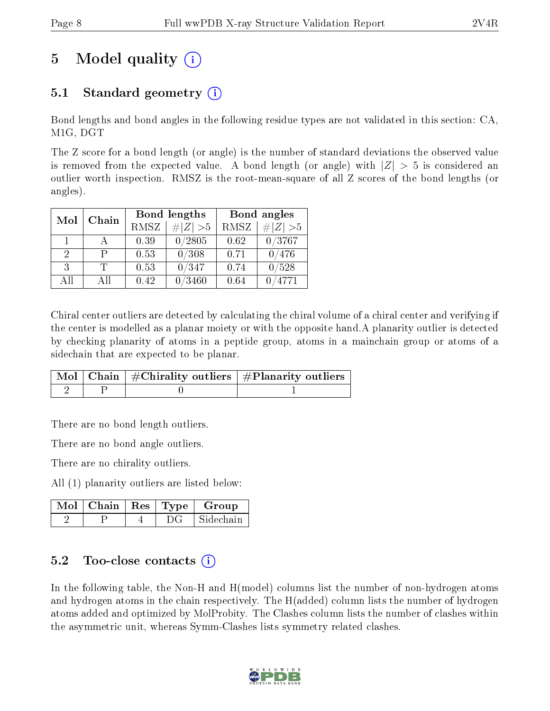## 5 Model quality  $(i)$

### 5.1 Standard geometry (i)

Bond lengths and bond angles in the following residue types are not validated in this section: CA, M1G, DGT

The Z score for a bond length (or angle) is the number of standard deviations the observed value is removed from the expected value. A bond length (or angle) with  $|Z| > 5$  is considered an outlier worth inspection. RMSZ is the root-mean-square of all Z scores of the bond lengths (or angles).

| Chain<br>Mol |     | Bond lengths |                              | Bond angles |                |
|--------------|-----|--------------|------------------------------|-------------|----------------|
|              |     | RMSZ         | $\vert \# \vert Z \vert > 5$ | <b>RMSZ</b> | # $ Z  > 5$    |
| $\mathbf{1}$ |     | 0.39         | 0/2805                       | 0.62        | 0/3767         |
| 2            |     | 0.53         | 0/308                        | 0.71        | 0/476          |
| 3            | T   | 0.53         | 0/347                        | 0.74        | $^{\prime}528$ |
| ΑĦ           | ΑII | $0.42\,$     | $^{\prime}3460$              | 0.64        | 4771           |

Chiral center outliers are detected by calculating the chiral volume of a chiral center and verifying if the center is modelled as a planar moiety or with the opposite hand.A planarity outlier is detected by checking planarity of atoms in a peptide group, atoms in a mainchain group or atoms of a sidechain that are expected to be planar.

|  | $\overline{\mid}$ Mol $\mid$ Chain $\mid$ #Chirality outliers $\mid$ #Planarity outliers $\mid$ |
|--|-------------------------------------------------------------------------------------------------|
|  |                                                                                                 |

There are no bond length outliers.

There are no bond angle outliers.

There are no chirality outliers.

All (1) planarity outliers are listed below:

|  |  | $\mid$ Mol $\mid$ Chain $\mid$ Res $\mid$ Type $\mid$ Group |
|--|--|-------------------------------------------------------------|
|  |  | Sidechain                                                   |

#### 5.2 Too-close contacts (i)

In the following table, the Non-H and H(model) columns list the number of non-hydrogen atoms and hydrogen atoms in the chain respectively. The H(added) column lists the number of hydrogen atoms added and optimized by MolProbity. The Clashes column lists the number of clashes within the asymmetric unit, whereas Symm-Clashes lists symmetry related clashes.

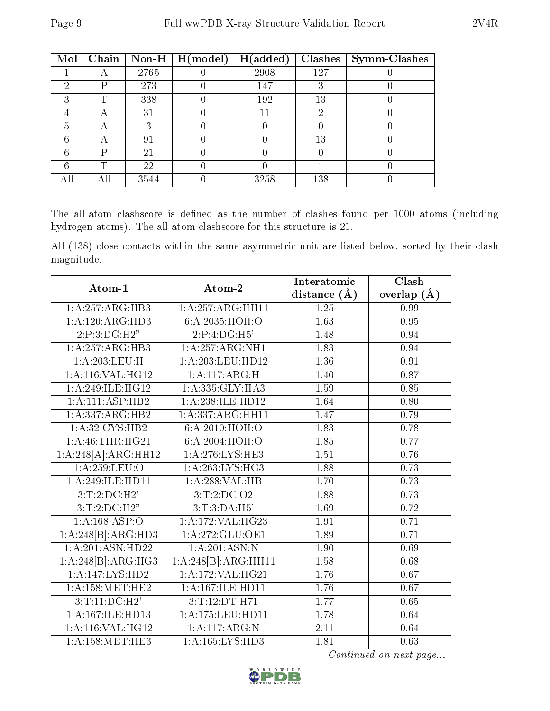| Mol | Chain | Non-H $ $ | $\mid$ H(model) | H(added) | <b>Clashes</b> | Symm-Clashes |
|-----|-------|-----------|-----------------|----------|----------------|--------------|
|     |       | 2765      |                 | 2908     | 127            |              |
| ച   | P     | 273       |                 | 147      |                |              |
| ച   | m     | 338       |                 | 192      | 13             |              |
|     |       | 31        |                 |          | 6)             |              |
| 5   |       | ર         |                 |          |                |              |
|     |       | 91        |                 |          | 13             |              |
| հ   | D     | 21        |                 |          |                |              |
|     | T     | 22        |                 |          |                |              |
|     |       | 3544      |                 | 3258     | 138            |              |

The all-atom clashscore is defined as the number of clashes found per 1000 atoms (including hydrogen atoms). The all-atom clashscore for this structure is 21.

All (138) close contacts within the same asymmetric unit are listed below, sorted by their clash magnitude.

| Atom-1              | Atom-2                           | Interatomic       | Clash             |
|---------------------|----------------------------------|-------------------|-------------------|
|                     |                                  | distance $(\AA)$  | overlap $(A)$     |
| 1:A:257:ARG:HB3     | 1:A:257:ARG:HH11                 | 1.25              | 0.99              |
| 1:A:120:ARG:HD3     | 6:A:2035:HOH:O                   | 1.63              | 0.95              |
| 2:P:3:DG:H2"        | 2:P:4:DG:H5'                     | 1.48              | 0.94              |
| 1:A:257:ARG:HB3     | 1:A:257:ARG:NH1                  | 1.83              | 0.94              |
| 1:A:203:LEU:H       | 1: A:203:LEU:HD12                | 1.36              | 0.91              |
| 1:A:116:VAL:HG12    | 1:A:117:ARG:H                    | 1.40              | 0.87              |
| 1:A:249:ILE:HG12    | 1:A:335:GLY:HA3                  | 1.59              | 0.85              |
| 1:A:111:ASP:HB2     | 1: A:238: ILE: HD12              | 1.64              | 0.80              |
| 1:A:337:ARG:HB2     | 1:A:337:ARG:HH11                 | 1.47              | 0.79              |
| 1:A:32:CYS:HB2      | 6:A:2010:HOH:O                   | 1.83              | 0.78              |
| 1: A:46:THR:HG21    | 6:A:2004:HOH:O                   | 1.85              | 0.77              |
| 1:A:248[A]:ARG:HH12 | 1: A:276:LYS:HE3                 | $\overline{1.51}$ | 0.76              |
| 1:A:259:LEU:O       | 1: A:263:LYS:HG3                 | 1.88              | 0.73              |
| 1:A:249:ILE:HD11    | 1:A:288:VAL:H B                  | 1.70              | 0.73              |
| 3:T:2:D C:H2'       | 3:T:2:DC:O2                      | 1.88              | 0.73              |
| 3:T:2:D C:H2"       | 3:T:3:DA:H5'                     | 1.69              | 0.72              |
| 1:A:168:ASP:O       | 1:A:172:VAL:HG23                 | 1.91              | 0.71              |
| 1:A:248[B]:ARG:HD3  | 1:A:272:GLU:OE1                  | 1.89              | 0.71              |
| 1:A:201:ASN:HD22    | 1:A:201:ASN:N                    | 1.90              | 0.69              |
| 1:A:248[B]:ARG:HG3  | $1:A:248[B]:ARG:H\overline{H11}$ | 1.58              | 0.68              |
| 1:A:147:LYS:HD2     | 1:A:172:VAL:HG21                 | $\overline{1.76}$ | $\overline{0.67}$ |
| 1: A: 158: MET: HE2 | 1:A:167:ILE:HD11                 | 1.76              | 0.67              |
| 3:T:11:DC:H2        | 3:T:12:DT:H71                    | 1.77              | 0.65              |
| 1:A:167:ILE:HD13    | 1:A:175:LEU:HD11                 | 1.78              | 0.64              |
| 1:A:116:VAL:HG12    | 1:A:117:ARG:N                    | 2.11              | 0.64              |
| 1: A: 158: MET: HE3 | 1:A:165:LYS:HD3                  | 1.81              | 0.63              |

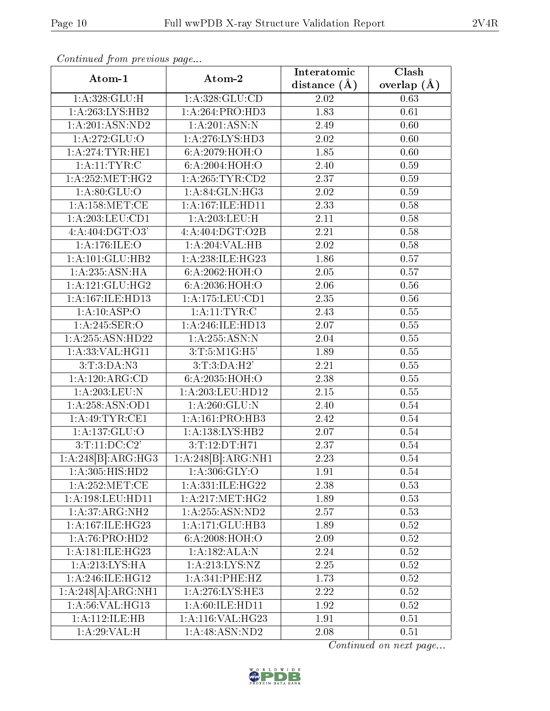| Atom-1                                            | Atom-2                       | Interatomic       | Clash<br>overlap $(A)$<br>0.63 |  |
|---------------------------------------------------|------------------------------|-------------------|--------------------------------|--|
|                                                   |                              | distance $(A)$    |                                |  |
| 1:A:328:GLU:H                                     | 1:A:328:GLU:CD               | 2.02              |                                |  |
| 1:A:263:LYS:HB2                                   | $1:A:264:PRO:\overline{HD3}$ | 1.83              | 0.61                           |  |
| 1:A:201:ASN:ND2                                   | 1:A:201:ASN:N                | 2.49              | 0.60                           |  |
| 1: A:272: GLU:O                                   | $1:A:276:LY\overline{S:HD3}$ | 2.02              | 0.60                           |  |
| 1:A:274:TYR:HE1                                   | 6:A:2079:HOH:O               | 1.85              | 0.60                           |  |
| 1: A:11: TYR: C                                   | 6: A:2004: HOH:O             | 2.40              | 0.59                           |  |
| 1: A:252:MET:HG2                                  | 1:A:265:TYR:CD2              | 2.37              | 0.59                           |  |
| 1: A:80: GLU:O                                    | 1:A:84:GLN:HG3               | 2.02              | 0.59                           |  |
| 1: A: 158:MET:CE                                  | 1:A:167:ILE:HD11             | 2.33              | 0.58                           |  |
| 1: A:203:LEU:CD1                                  | 1:A:203:LEU:H                | 2.11              | 0.58                           |  |
| $4:A:404:D\overline{GT:O3'}$                      | 4:A:404:DGT:O2B              | 2.21              | 0.58                           |  |
| 1: A:176: ILE: O                                  | 1:A:204:VAL:HB               | 2.02              | 0.58                           |  |
| 1:A:101:GLU:HB2                                   | 1:A:238:ILE:HG23             | 1.86              | 0.57                           |  |
| 1:A:235:ASN:HA                                    | 6:A:2062:HOH:O               | 2.05              | 0.57                           |  |
| 1:A:121:GLU:HG2                                   | 6:A:2036:HOH:O               | 2.06              | 0.56                           |  |
| 1:A:167:ILE:HD13                                  | 1: A: 175: LEU: CD1          | 2.35              | 0.56                           |  |
| 1:A:10:ASP:O                                      | 1: A:11: TYR: C              | 2.43              | 0.55                           |  |
| 1: A:245: SER:O                                   | 1:A:246:ILE:HD13             | 2.07              | 0.55                           |  |
| 1:A:255:ASN:HD22                                  | 1:A:255:ASN:N                | 2.04              | 0.55                           |  |
| 1:A:33:VAL:HG11                                   | 3:T:5:M1G:H5'                | 1.89              | 0.55                           |  |
| 3: T:3:DA:N3                                      | 3:T:3:DA:H2'                 | 2.21              | 0.55                           |  |
| 1:A:120:ARG:CD                                    | 6:A:2035:HOH:O               | 2.38              | 0.55                           |  |
| $1: A:203:$ LEU:N                                 | 1:A:203:LEU:HD12             | 2.15              | 0.55                           |  |
| 1: A:258: ASN:OD1                                 | 1:A:260:GLU:N                | $\overline{2.40}$ | 0.54                           |  |
| 1:A:49:TYR:CE1                                    | 1:A:161:PRO:HB3              | 2.42              | 0.54                           |  |
| 1: A: 137: GLU:O                                  | 1: A: 138: LYS: HB2          | 2.07              | 0.54                           |  |
| 3:T:11:DC:C2'                                     | 3:T:12:DT:H71                | 2.37              | 0.54                           |  |
| $1:A:248[\overline{B}].\overline{\text{ARG:HG3}}$ | 1:A:248[B]:ARG:NH1           | 2.23              | $0.54\,$                       |  |
| 1: A:305: HIS: HD2                                | 1: A:306: GLY:O              | 1.91              | 0.54                           |  |
| 1: A:252:MET:CE                                   | 1:A:331:ILE:HG22             | 2.38              | 0.53                           |  |
| 1:A:198:LEU:HD11                                  | 1: A:217: MET:HG2            | 1.89              | 0.53                           |  |
| 1:A:37:ARG:NH2                                    | 1:A:255:ASN:ND2              | 2.57              | 0.53                           |  |
| 1: A:167: ILE:HG23                                | 1:A:171:GLU:HB3              | 1.89              | 0.52                           |  |
| 1:A:76:PRO:HD2                                    | 6:A:2008:HOH:O               | 2.09              | 0.52                           |  |
| 1:A:181:ILE:HG23                                  | 1:A:182:ALA:N                | 2.24              | 0.52                           |  |
| 1:A:213:LYS:HA                                    | 1: A:213: LYS: NZ            | 2.25              | 0.52                           |  |
| 1:A:246:ILE:HG12                                  | 1: A:341: PHE:HZ             | 1.73              | $0.52\,$                       |  |
| 1:A:248[A]:ARG:NH1                                | 1: A:276:LYS:HE3             | 2.22              | 0.52                           |  |
| 1:A:56:VAL:HG13                                   | 1:A:60:ILE:HD11              | 1.92              | 0.52                           |  |
| 1: A: 112: ILE: HB                                | 1:A:116:VAL:HG23             | 1.91              | 0.51                           |  |
| 1:A:29:VAL:H                                      | 1: A:48: ASN:ND2             | 2.08              | 0.51                           |  |
|                                                   |                              |                   |                                |  |

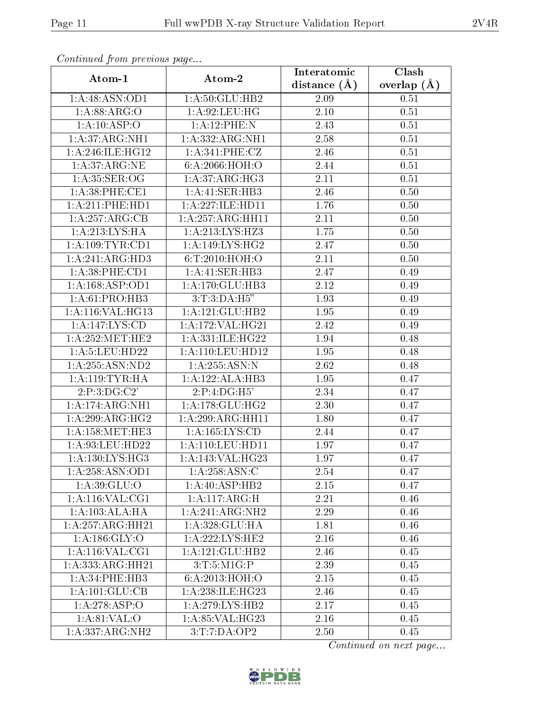| Atom-1              | Atom-2               | Interatomic       | Clash         |
|---------------------|----------------------|-------------------|---------------|
|                     |                      | distance $(A)$    | overlap $(A)$ |
| 1:A:48:ASN:OD1      | 1:A:50:GLU:HB2       | 2.09              | 0.51          |
| 1:A:88:ARG:O        | 1: A:92: LEU: HG     | 2.10              | 0.51          |
| 1:A:10:ASP:O        | 1:A:12:PHE:N         | 2.43              | 0.51          |
| 1:A:37:ARG:NH1      | 1:A:332:ARG:NH1      | 2.58              | 0.51          |
| 1: A:246: ILE: HG12 | 1:A:341:PHE:CZ       | 2.46              | 0.51          |
| 1: A:37: ARG: NE    | 6:A:2066:HOH:O       | 2.44              | 0.51          |
| 1: A:35: SER:OG     | 1:A:37:ARG:HG3       | 2.11              | 0.51          |
| 1: A:38: PHE:CE1    | 1:A:41:SER:HB3       | 2.46              | 0.50          |
| 1:A:211:PHE:HD1     | 1:A:227:ILE:HD11     | 1.76              | 0.50          |
| 1:A:257:ARG:CB      | 1:A:257:ARG:HH11     | 2.11              | 0.50          |
| 1: A:213: LYS: HA   | 1:A:213:LYS:HZ3      | 1.75              | 0.50          |
| 1: A:109: TYR: CD1  | 1:A:149:LYS:HG2      | 2.47              | 0.50          |
| 1:A:241:ARG:HD3     | 6: T:2010:HOH:O      | 2.11              | 0.50          |
| $1: A:38:$ PHE:CD1  | 1:A:41:SER:HB3       | 2.47              | 0.49          |
| 1: A: 168: ASP: OD1 | 1: A:170: GLU:HB3    | 2.12              | 0.49          |
| 1:A:61:PRO:HB3      | 3: T:3:DA:H5"        | 1.93              | 0.49          |
| 1:A:116:VAL:HG13    | 1: A: 121: GLU: HB2  | 1.95              | 0.49          |
| 1:A:147:LYS:CD      | 1:A:172:VAL:HG21     | 2.42              | 0.49          |
| 1: A:252:MET:HE2    | 1:A:331:ILE:HG22     | 1.94              | 0.48          |
| 1:A:5:LEU:HD22      | 1:A:110:LEU:HD12     | 1.95              | 0.48          |
| 1:A:255:ASN:ND2     | 1:A:255:ASN:N        | $\overline{2.62}$ | 0.48          |
| 1: A:119: TYR: HA   | 1:A:122:ALA:HB3      | 1.95              | 0.47          |
| 2:P:3:DG:C2'        | 2:P:4:DG:H5'         | 2.34              | 0.47          |
| 1:A:174:ARG:NH1     | 1: A:178: GLU: HG2   | 2.30              | 0.47          |
| 1:A:299:ARG:HG2     | 1:A:299:ARG:HH11     | 1.80              | 0.47          |
| 1: A: 158: MET: HE3 | 1: A: 165: LYS: CD   | 2.44              | 0.47          |
| 1:A:93:LEU:HD22     | 1: A: 110: LEU: HD11 | 1.97              | 0.47          |
| 1:A:130:LYS:HG3     | 1:A:143:VAL:HG23     | 1.97              | 0.47          |
| 1: A:258:ASN:OD1    | 1: A:258: ASN: C     | 2.54              | 0.47          |
| 1: A:39: GLU:O      | 1:A:40:ASP:HB2       | 2.15              | 0.47          |
| 1:A:116:VAL:CG1     | 1:A:117:ARG:H        | 2.21              | 0.46          |
| 1:A:103:ALA:HA      | 1:A:241:ARG:NH2      | 2.29              | 0.46          |
| 1:A:257:ARG:HH21    | 1:A:328:GLU:HA       | 1.81              | 0.46          |
| 1: A: 186: GLY:O    | 1:A:222:LYS:HE2      | 2.16              | 0.46          |
| 1: A:116: VAL:CG1   | 1:A:121:GLU:HB2      | 2.46              | 0.45          |
| 1:A:333:ARG:HH21    | 3:T:5:M1G:P          | 2.39              | 0.45          |
| 1:A:34:PHE:HB3      | 6:A:2013:HOH:O       | 2.15              | 0.45          |
| 1: A: 101: GLU: CB  | 1: A:238: ILE: HG23  | 2.46              | 0.45          |
| 1:A:278:ASP:O       | 1: A:279: LYS: HB2   | 2.17              | 0.45          |
| 1: A:81:VAL:O       | 1: A:85:VAL:HG23     | 2.16              | 0.45          |
| 1:A:337:ARG:NH2     | 3:T:7:DA:OP2         | 2.50              | 0.45          |

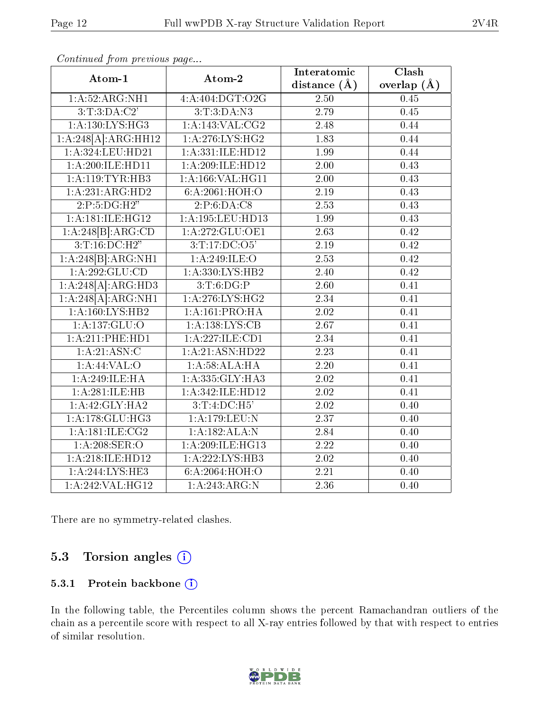| Atom-1               | Atom-2                     | Interatomic       | Clash           |
|----------------------|----------------------------|-------------------|-----------------|
|                      |                            | distance $(\AA)$  | overlap $(\AA)$ |
| 1:A:52:ARG:NH1       | 4:A:404:DGT:O2G            | 2.50              | 0.45            |
| 3:T:3:DA:C2'         | 3: T: 3: DA: N3            | 2.79              | 0.45            |
| 1: A: 130: LYS: HG3  | 1:A:143:VAL:CG2            | 2.48              | 0.44            |
| 1:A:248[A]:ARG:HH12  | 1: A:276: LYS: HG2         | $\overline{1.83}$ | 0.44            |
| 1: A: 324: LEU: HD21 | 1: A: 331: ILE: HD12       | 1.99              | 0.44            |
| 1:A:200:ILE:HD11     | 1:A:209:ILE:HD12           | 2.00              | 0.43            |
| 1:A:119:TYR:HB3      | 1:A:166:VAL:HG11           | $\overline{2.00}$ | 0.43            |
| 1:A:231:ARG:HD2      | 6:A:2061:HOH:O             | $2.19\,$          | 0.43            |
| 2:P:5:DG:H2"         | 2:P:6:DA:C8                | $\overline{2.53}$ | 0.43            |
| 1:A:181:ILE:HG12     | 1:A:195:LEU:HD13           | 1.99              | 0.43            |
| 1:A:248[B]:ARG:CD    | 1:A:272:GLU:OE1            | 2.63              | 0.42            |
| 3: T: 16: DC: H2"    | 3:T:17:D <sub>C</sub> :O5' | 2.19              | 0.42            |
| 1:A:248[B]:ARG:NH1   | 1: A:249: ILE:O            | 2.53              | 0.42            |
| 1: A:292: GLU:CD     | 1: A: 330: LYS: HB2        | 2.40              | 0.42            |
| 1:A:248[A]:ARG:HD3   | 3:T:6:DG:P                 | 2.60              | 0.41            |
| 1:A:248[A]:ARG:NH1   | 1: A:276: LYS: HG2         | 2.34              | 0.41            |
| 1: A:160: LYS: HB2   | 1:A:161:PRO:HA             | 2.02              | 0.41            |
| 1:A:137:GLU:O        | 1: A: 138: LYS: CB         | 2.67              | 0.41            |
| 1:A:211:PHE:HD1      | 1:A:227:ILE:CD1            | $\overline{2.34}$ | 0.41            |
| 1:A:21:ASN:C         | 1:A:21:ASN:HD22            | 2.23              | 0.41            |
| $1:$ A:44:VAL:O      | 1: A:58:ALA:H              | $\overline{2.20}$ | 0.41            |
| 1:A:249:ILE:HA       | 1:A:335:GLY:HA3            | 2.02              | 0.41            |
| 1:A:281:ILE:HB       | 1:A:342:ILE:HD12           | 2.02              | 0.41            |
| 1:A:42:GLY:HA2       | 3:T:4:DC:H5'               | 2.02              | 0.40            |
| 1: A:178: GLU:HG3    | 1:A:179:LEU:N              | 2.37              | 0.40            |
| $1:$ A:181:ILE:CG2   | 1:A:182:ALA:N              | $\overline{2.84}$ | 0.40            |
| $1: A:208:$ SER:O    | 1:A:209:ILE:HG13           | 2.22              | 0.40            |
| 1:A:218:ILE:HD12     | 1: A:222:LYS:HB3           | 2.02              | 0.40            |
| 1: A:244:LYS:HE3     | 6:A:2064:HOH:O             | $\overline{2.21}$ | 0.40            |
| 1:A:242:VAL:HG12     | 1:A:243:ARG:N              | 2.36              | 0.40            |

There are no symmetry-related clashes.

### 5.3 Torsion angles  $(i)$

#### 5.3.1 Protein backbone (i)

In the following table, the Percentiles column shows the percent Ramachandran outliers of the chain as a percentile score with respect to all X-ray entries followed by that with respect to entries of similar resolution.

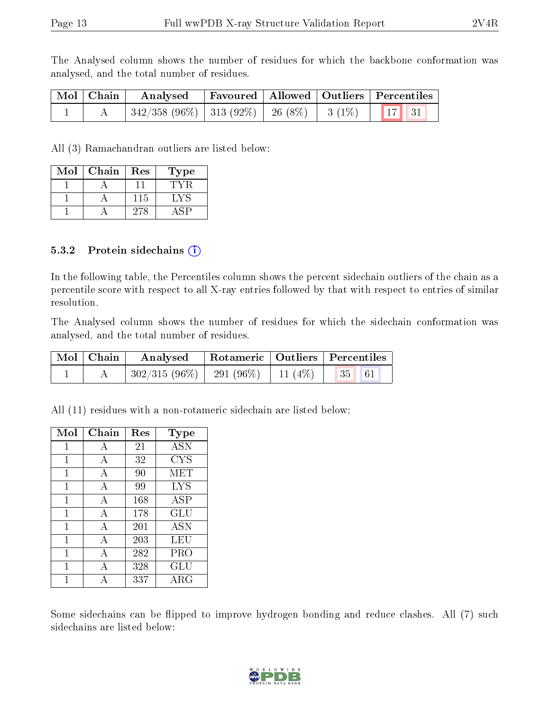The Analysed column shows the number of residues for which the backbone conformation was analysed, and the total number of residues.

| Mol Chain | $\boldsymbol{\mathrm{Analysed}}$                |  | Favoured   Allowed   Outliers   Percentiles |
|-----------|-------------------------------------------------|--|---------------------------------------------|
|           | $342/358 (96\%)$ 313 (92%) 26 (8%) 3 (1%) 17 31 |  |                                             |

All (3) Ramachandran outliers are listed below:

| Mol | Chain | Res | Type    |
|-----|-------|-----|---------|
|     |       |     |         |
|     |       | 115 | $\cdot$ |
|     |       | 278 |         |

#### 5.3.2 Protein sidechains  $(i)$

In the following table, the Percentiles column shows the percent sidechain outliers of the chain as a percentile score with respect to all X-ray entries followed by that with respect to entries of similar resolution.

The Analysed column shows the number of residues for which the sidechain conformation was analysed, and the total number of residues.

| $\mid$ Mol $\mid$ Chain $\mid$ | $\boldsymbol{\mathrm{Analysed}}$                |  | Rotameric   Outliers   Percentiles |
|--------------------------------|-------------------------------------------------|--|------------------------------------|
|                                | $302/315(96\%)$   291 (96\%)   11 (4\%)   35 61 |  |                                    |

All (11) residues with a non-rotameric sidechain are listed below:

| Mol          | Chain | $\operatorname{Res}$ | <b>Type</b> |
|--------------|-------|----------------------|-------------|
| 1            | А     | 21                   | <b>ASN</b>  |
| 1            | A     | 32                   | CYS         |
| $\mathbf{1}$ | А     | 90                   | MET         |
| 1            | А     | 99                   | <b>LYS</b>  |
| 1            | А     | 168                  | ASP         |
| 1            | А     | 178                  | GLU         |
| 1            | А     | 201                  | <b>ASN</b>  |
| $\mathbf{1}$ | А     | 203                  | LEU         |
| 1            | А     | 282                  | PRO         |
| 1            | А     | 328                  | GLU         |
|              | А     | 337                  | ${\rm ARG}$ |

Some sidechains can be flipped to improve hydrogen bonding and reduce clashes. All (7) such sidechains are listed below:

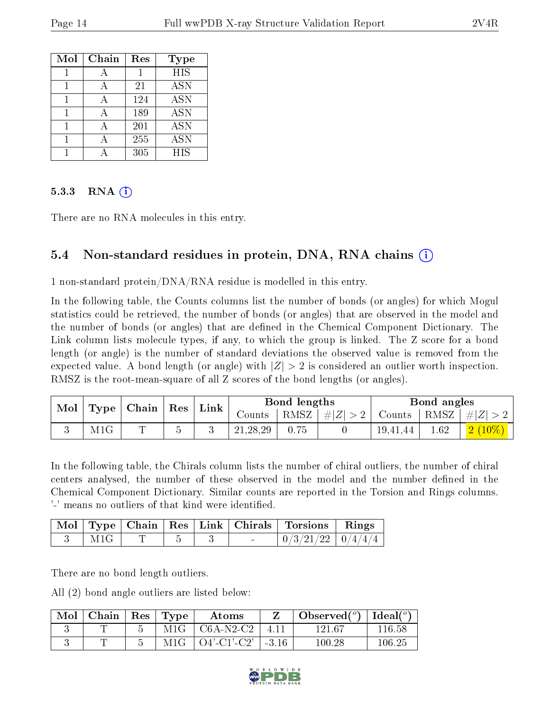| Mol | Chain | Res | Type                      |
|-----|-------|-----|---------------------------|
|     |       |     | $\overline{\mathrm{HIS}}$ |
|     |       | 21  | <b>ASN</b>                |
|     |       | 124 | <b>ASN</b>                |
|     |       | 189 | ASN                       |
|     |       | 201 | <b>ASN</b>                |
|     |       | 255 | <b>ASN</b>                |
|     |       | 305 | <b>HIS</b>                |

#### 5.3.3 RNA  $(i)$

There are no RNA molecules in this entry.

### 5.4 Non-standard residues in protein, DNA, RNA chains (i)

1 non-standard protein/DNA/RNA residue is modelled in this entry.

In the following table, the Counts columns list the number of bonds (or angles) for which Mogul statistics could be retrieved, the number of bonds (or angles) that are observed in the model and the number of bonds (or angles) that are defined in the Chemical Component Dictionary. The Link column lists molecule types, if any, to which the group is linked. The Z score for a bond length (or angle) is the number of standard deviations the observed value is removed from the expected value. A bond length (or angle) with  $|Z| > 2$  is considered an outlier worth inspection. RMSZ is the root-mean-square of all Z scores of the bond lengths (or angles).

| Mol | Type | $\mid$ Chain $\mid$ Res $\mid$ |                       | Link |            | Bond lengths |                    | Bond angles |      |                                                                  |
|-----|------|--------------------------------|-----------------------|------|------------|--------------|--------------------|-------------|------|------------------------------------------------------------------|
|     |      |                                |                       |      | Counts     |              | RMSZ   $\# Z  > 2$ |             |      | $\vert$ Counts $\vert$ RMSZ $\vert \# \vert Z \vert > 2$ $\vert$ |
|     | M1G  | ┯                              | $\tilde{\phantom{a}}$ |      | 21, 28, 29 |              |                    | 19,41,44    | 1.62 |                                                                  |

In the following table, the Chirals column lists the number of chiral outliers, the number of chiral centers analysed, the number of these observed in the model and the number defined in the Chemical Component Dictionary. Similar counts are reported in the Torsion and Rings columns. '-' means no outliers of that kind were identified.

|  |  |  | Mol   Type   Chain   Res   Link   Chirals   Torsions   Rings |  |
|--|--|--|--------------------------------------------------------------|--|
|  |  |  | $0/3/21/22$   $0/4/4/4$                                      |  |

There are no bond length outliers.

All (2) bond angle outliers are listed below:

| Mol | Chain | $\vert$ Res $\vert$ | $\vert$ Type | Atoms          |         | Observed $(°)$ | Ideal $(°)$ |
|-----|-------|---------------------|--------------|----------------|---------|----------------|-------------|
|     |       |                     | M1G          | $C6A-N2-C2$    | 411     | 121.67         | 116.58      |
|     |       |                     | M1G          | $O4'$ -C1'-C2' | $-3.16$ | $100.28\,$     | 106.25      |

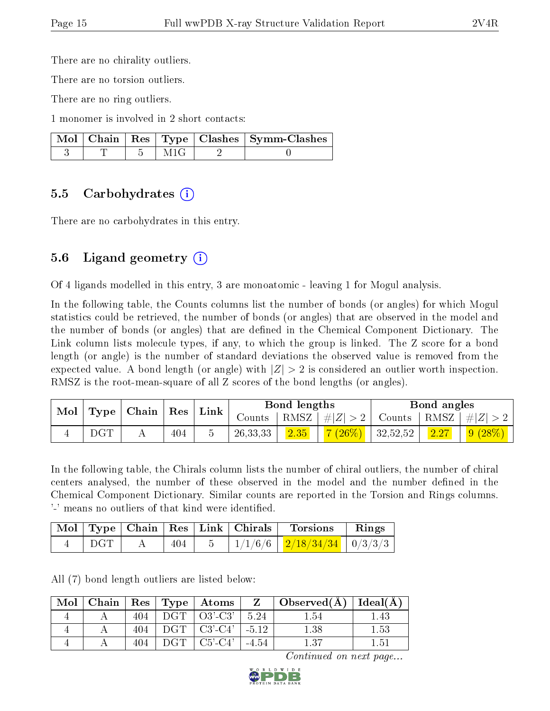There are no chirality outliers.

There are no torsion outliers.

There are no ring outliers.

1 monomer is involved in 2 short contacts:

|  |  | Mol   Chain   Res   Type   Clashes   Symm-Clashes |
|--|--|---------------------------------------------------|
|  |  |                                                   |

#### 5.5 Carbohydrates (i)

There are no carbohydrates in this entry.

### 5.6 Ligand geometry (i)

Of 4 ligands modelled in this entry, 3 are monoatomic - leaving 1 for Mogul analysis.

In the following table, the Counts columns list the number of bonds (or angles) for which Mogul statistics could be retrieved, the number of bonds (or angles) that are observed in the model and the number of bonds (or angles) that are defined in the Chemical Component Dictionary. The Link column lists molecule types, if any, to which the group is linked. The Z score for a bond length (or angle) is the number of standard deviations the observed value is removed from the expected value. A bond length (or angle) with  $|Z| > 2$  is considered an outlier worth inspection. RMSZ is the root-mean-square of all Z scores of the bond lengths (or angles).

|     | Mol   Type   Chain   Res |     |  | ' Link   |      | Bond lengths                           |  | Bond angles                                                                  |  |
|-----|--------------------------|-----|--|----------|------|----------------------------------------|--|------------------------------------------------------------------------------|--|
|     |                          |     |  | Counts 1 |      |                                        |  | $\mid$ RMSZ $\mid \#  Z  > 2 \mid$ Counts $\mid$ RMSZ $\mid \#  Z  > 2 \mid$ |  |
| DGT |                          | 404 |  | 26,33,33 | 2.35 | <mark>7 (26%)</mark>   32,52,52   2.27 |  | $\mid$ 9 (28%) $\mid$                                                        |  |

In the following table, the Chirals column lists the number of chiral outliers, the number of chiral centers analysed, the number of these observed in the model and the number defined in the Chemical Component Dictionary. Similar counts are reported in the Torsion and Rings columns. '-' means no outliers of that kind were identified.

|       |     | Mol   Type   Chain   Res   Link   Chirals | Torsions                                   | Rings |
|-------|-----|-------------------------------------------|--------------------------------------------|-------|
| DGT 1 | 404 |                                           | $5$   $1/1/6/6$   $2/18/34/34$   $0/3/3/3$ |       |

All (7) bond length outliers are listed below:

| Mol |     |       | Chain   $\text{Res}$   $\text{Type}$   $\text{Atoms}$ |         | $Z \mid Observed(A) \mid Ideal(A)$ |      |
|-----|-----|-------|-------------------------------------------------------|---------|------------------------------------|------|
|     | 404 |       | $DGT   O3'-C3'$                                       | - 5.24  | 1.54                               | .43  |
|     | 404 | $DGT$ | $\mid$ C3'-C4' $\mid$ -5.12                           |         | 1.38                               | 1.53 |
|     | 404 | DGT - | $C5'-C4'$                                             | $-4.54$ | $1.37\,$                           | 1.51 |

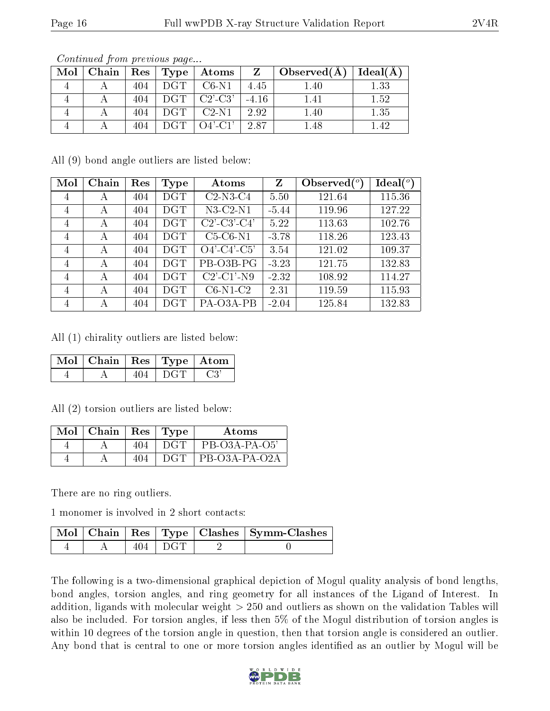| Mol | Chain | $\operatorname{Res}$ | Type       | Atoms                              |         | $\Box$ Observed $(A)$ | Ideal(A) |
|-----|-------|----------------------|------------|------------------------------------|---------|-----------------------|----------|
|     |       | 404                  | DGT.       | $C6-N1$                            | 4.45    | .40                   | l .33    |
|     |       | 404                  | <b>DGT</b> | $C2'$ -C3'                         | $-4.16$ | 1.41                  | $1.52\,$ |
|     |       | 404                  |            | $C2-N1$                            | 2.92    | $1.40\,$              | $1.35\,$ |
|     |       | 404                  |            | $\overline{O4'}$ -C <sup>1</sup> ' | 2.87    | 48                    |          |

All (9) bond angle outliers are listed below:

| Mol | Chain | Res | Type       | Atoms                                                            | Z       | Observed $(°)$ | Ideal $({}^{\circ})$ |
|-----|-------|-----|------------|------------------------------------------------------------------|---------|----------------|----------------------|
| 4   | А     | 404 | <b>DGT</b> | $C2-N3-C4$                                                       | 5.50    | 121.64         | 115.36               |
| 4   | А     | 404 | $\rm DGT$  | $N3-C2-N1$                                                       | $-5.44$ | 119.96         | 127.22               |
| 4   | А     | 404 | $\rm DGT$  | $C2$ <sup>'</sup> -C <sub>3</sub> <sup>'</sup> -C <sub>4</sub> ' | 5.22    | 113.63         | 102.76               |
| 4   | А     | 404 | <b>DGT</b> | $C5-C6-N1$                                                       | $-3.78$ | 118.26         | 123.43               |
| 4   | А     | 404 | $\rm DGT$  | $O4'$ -C4'-C5'                                                   | 3.54    | 121.02         | 109.37               |
| 4   | А     | 404 | <b>DGT</b> | PB-O3B-PG                                                        | $-3.23$ | 121.75         | 132.83               |
| 4   | А     | 404 | $\rm DGT$  | $C2'$ - $C1'$ -N9                                                | $-2.32$ | 108.92         | 114.27               |
| 4   | А     | 404 | DGT        | $C6-N1-C2$                                                       | 2.31    | 119.59         | 115.93               |
| 4   | А     | 404 | $\rm DGT$  | PA-O3A-PB                                                        | $-2.04$ | 125.84         | 132.83               |

All (1) chirality outliers are listed below:

| Mol   Chain   Res   Type   Atom |  |  |
|---------------------------------|--|--|
|                                 |  |  |

All (2) torsion outliers are listed below:

| $Mol$   Chain |     | Res   Type | Atoms           |
|---------------|-----|------------|-----------------|
|               | 404 | DGT        | $PB-O3A-PA-O5'$ |
|               | 404 | DGT        | PB-O3A-PA-O2A   |

There are no ring outliers.

1 monomer is involved in 2 short contacts:

|  |         | Mol   Chain   Res   Type   Clashes   Symm-Clashes |
|--|---------|---------------------------------------------------|
|  | 404 DGT |                                                   |

The following is a two-dimensional graphical depiction of Mogul quality analysis of bond lengths, bond angles, torsion angles, and ring geometry for all instances of the Ligand of Interest. In addition, ligands with molecular weight > 250 and outliers as shown on the validation Tables will also be included. For torsion angles, if less then 5% of the Mogul distribution of torsion angles is within 10 degrees of the torsion angle in question, then that torsion angle is considered an outlier. Any bond that is central to one or more torsion angles identified as an outlier by Mogul will be

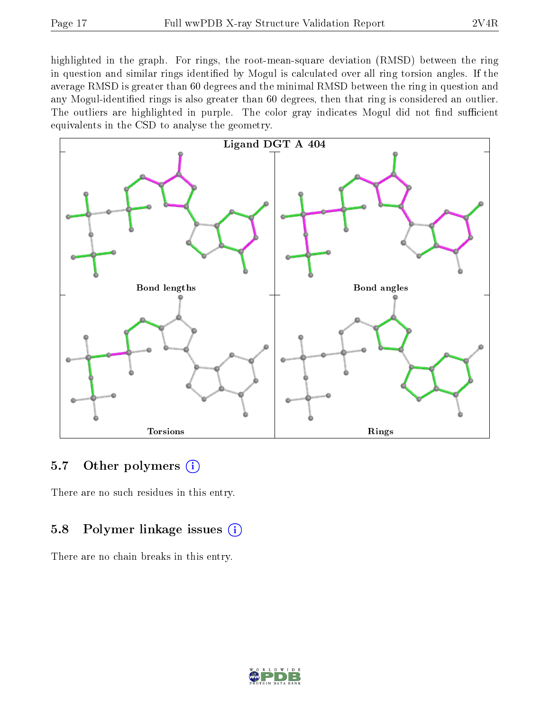highlighted in the graph. For rings, the root-mean-square deviation (RMSD) between the ring in question and similar rings identified by Mogul is calculated over all ring torsion angles. If the average RMSD is greater than 60 degrees and the minimal RMSD between the ring in question and any Mogul-identied rings is also greater than 60 degrees, then that ring is considered an outlier. The outliers are highlighted in purple. The color gray indicates Mogul did not find sufficient equivalents in the CSD to analyse the geometry.



#### 5.7 [O](https://www.wwpdb.org/validation/2017/XrayValidationReportHelp#nonstandard_residues_and_ligands)ther polymers  $(i)$

There are no such residues in this entry.

#### 5.8 Polymer linkage issues  $(i)$

There are no chain breaks in this entry.

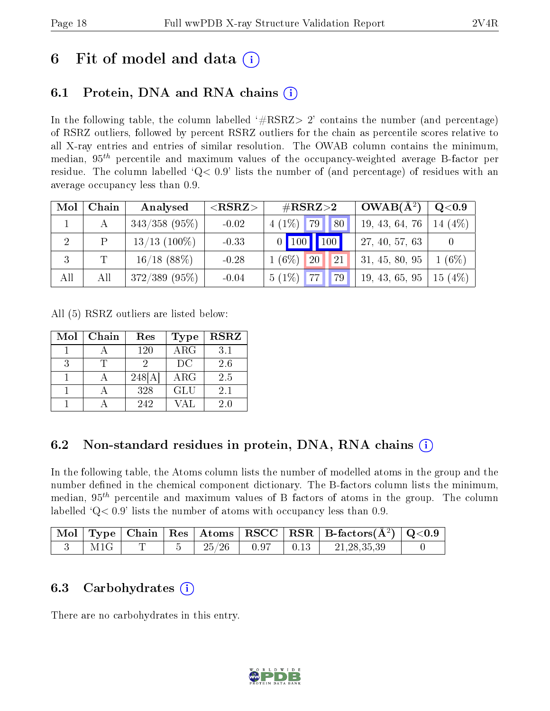## 6 Fit of model and data  $\left( \cdot \right)$

## 6.1 Protein, DNA and RNA chains (i)

In the following table, the column labelled  $#RSRZ> 2'$  contains the number (and percentage) of RSRZ outliers, followed by percent RSRZ outliers for the chain as percentile scores relative to all X-ray entries and entries of similar resolution. The OWAB column contains the minimum, median,  $95<sup>th</sup>$  percentile and maximum values of the occupancy-weighted average B-factor per residue. The column labelled  $Q< 0.9$  lists the number of (and percentage) of residues with an average occupancy less than 0.9.

| Mol            | Chain | Analysed        | ${ <\hspace{-1.5pt}{\mathrm{RSRZ}} \hspace{-1.5pt}>}$ | $\#\text{RSRZ}{>}2$      | $OWAB(A^2)$    | $Q<$ 0.9     |
|----------------|-------|-----------------|-------------------------------------------------------|--------------------------|----------------|--------------|
|                |       | $343/358$ (95%) | $-0.02$                                               | $4(1\%)$ 79<br>80        | 19, 43, 64, 76 | (4%)<br>14   |
| $\overline{2}$ | P     | $13/13$ (100\%) | $-0.33$                                               | $0$ 100 100              | 27, 40, 57, 63 |              |
| 3              | T     | $16/18$ (88%)   | $-0.28$                                               | 21<br>$1(6\%)$<br>20     | 31, 45, 80, 95 | $(6\%)$      |
| All            | All   | $372/389$ (95%) | $-0.04$                                               | $5(1\%)$ 77<br><b>79</b> | 19, 43, 65, 95 | (4%)<br>15 ( |

All (5) RSRZ outliers are listed below:

| Mol | Chain | Res   | <b>Type</b>             | <b>RSRZ</b> |
|-----|-------|-------|-------------------------|-------------|
|     |       | 120   | $\overline{\text{ARG}}$ | 3.1         |
| 3   |       |       | DC                      | 2.6         |
|     |       | 248[A | <b>ARG</b>              | 2.5         |
|     |       | 328   | GLU                     | 2.1         |
|     |       | 242   | 7 A T                   | 20          |

### 6.2 Non-standard residues in protein, DNA, RNA chains  $(i)$

In the following table, the Atoms column lists the number of modelled atoms in the group and the number defined in the chemical component dictionary. The B-factors column lists the minimum, median,  $95<sup>th</sup>$  percentile and maximum values of B factors of atoms in the group. The column labelled  $Q< 0.9$ ' lists the number of atoms with occupancy less than 0.9.

|     |  |       |      | Mol   Type   Chain   Res   Atoms   RSCC   RSR   B-factors( $\AA^2$ )   Q<0.9 |  |
|-----|--|-------|------|------------------------------------------------------------------------------|--|
| M1G |  | 25/26 | 0.97 | 21.28.35.39                                                                  |  |

#### 6.3 Carbohydrates (i)

There are no carbohydrates in this entry.